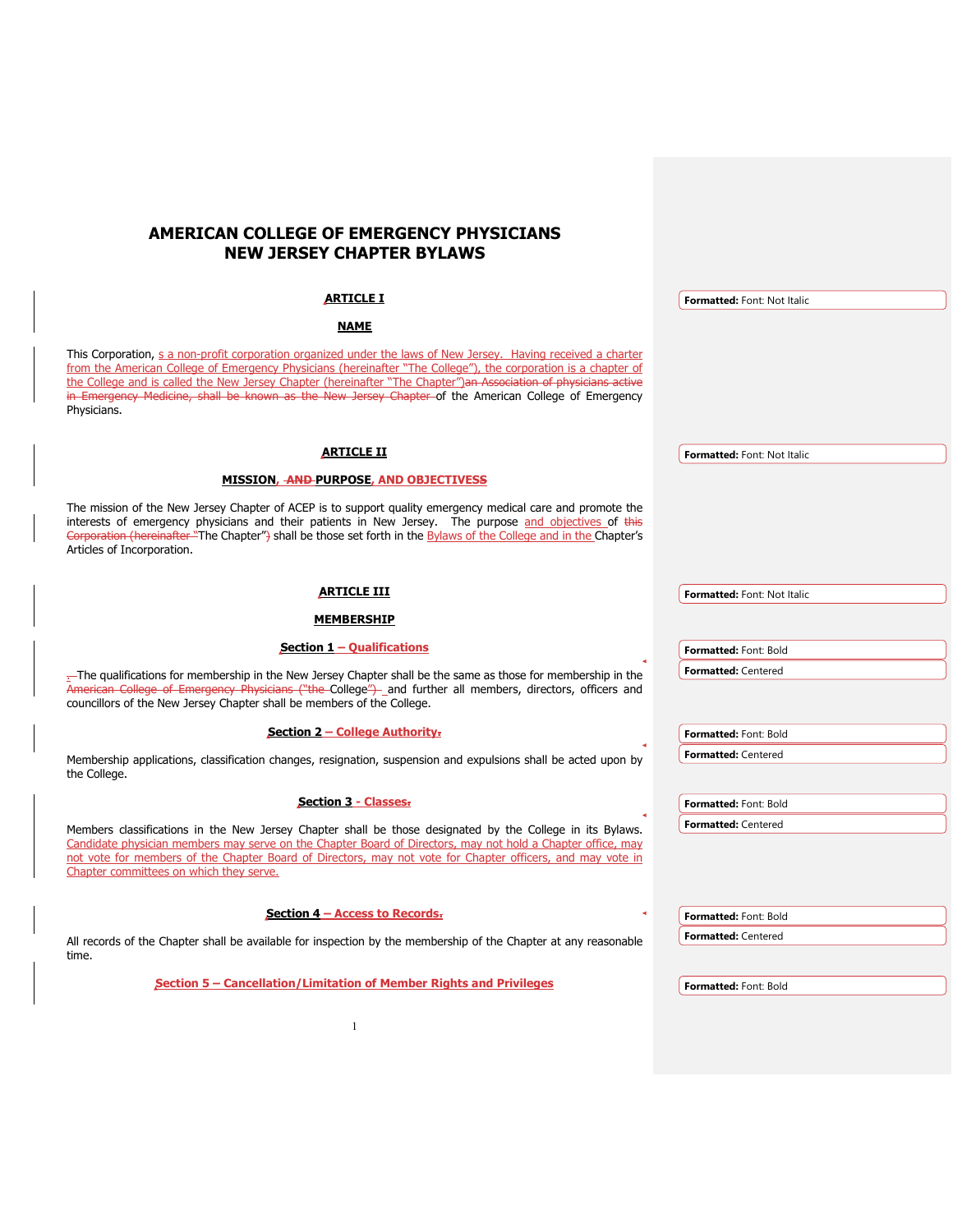# **AMERICAN COLLEGE OF EMERGENCY PHYSICIANS NEW JERSEY CHAPTER BYLAWS**

| ARTICLE I                                                                                                                                                                                                                                                                                                                                                                                                                                                                   | Formatted: Font: Not Italic |
|-----------------------------------------------------------------------------------------------------------------------------------------------------------------------------------------------------------------------------------------------------------------------------------------------------------------------------------------------------------------------------------------------------------------------------------------------------------------------------|-----------------------------|
| <b>NAME</b>                                                                                                                                                                                                                                                                                                                                                                                                                                                                 |                             |
| This Corporation, s a non-profit corporation organized under the laws of New Jersey. Having received a charter<br>from the American College of Emergency Physicians (hereinafter "The College"), the corporation is a chapter of<br>the College and is called the New Jersey Chapter (hereinafter "The Chapter") an Association of physicians active<br>in Emergency Medicine, shall be known as the New Jersey Chapter of the American College of Emergency<br>Physicians. |                             |
| <b>ARTICLE II</b>                                                                                                                                                                                                                                                                                                                                                                                                                                                           | Formatted: Font: Not Italic |
| MISSION, AND PURPOSE, AND OBJECTIVESS                                                                                                                                                                                                                                                                                                                                                                                                                                       |                             |
| The mission of the New Jersey Chapter of ACEP is to support quality emergency medical care and promote the<br>interests of emergency physicians and their patients in New Jersey. The purpose and objectives of this<br>Corporation (hereinafter "The Chapter") shall be those set forth in the Bylaws of the College and in the Chapter's<br>Articles of Incorporation.                                                                                                    |                             |
| <u>ARTICLE III</u>                                                                                                                                                                                                                                                                                                                                                                                                                                                          | Formatted: Font: Not Italic |
|                                                                                                                                                                                                                                                                                                                                                                                                                                                                             |                             |
| <b>MEMBERSHIP</b>                                                                                                                                                                                                                                                                                                                                                                                                                                                           |                             |
| Section $1 -$ Qualifications                                                                                                                                                                                                                                                                                                                                                                                                                                                | Formatted: Font: Bold       |
| -The qualifications for membership in the New Jersey Chapter shall be the same as those for membership in the<br>American College of Emergency Physicians ("the-College")-_and further all members, directors, officers and<br>councillors of the New Jersey Chapter shall be members of the College.                                                                                                                                                                       | <b>Formatted: Centered</b>  |
| Section 2 – College Authority-                                                                                                                                                                                                                                                                                                                                                                                                                                              | Formatted: Font: Bold       |
| Membership applications, classification changes, resignation, suspension and expulsions shall be acted upon by<br>the College.                                                                                                                                                                                                                                                                                                                                              | <b>Formatted: Centered</b>  |
| <b>Section 3 - Classes.</b>                                                                                                                                                                                                                                                                                                                                                                                                                                                 | Formatted: Font: Bold       |
| Members classifications in the New Jersey Chapter shall be those designated by the College in its Bylaws.                                                                                                                                                                                                                                                                                                                                                                   | <b>Formatted: Centered</b>  |
| Candidate physician members may serve on the Chapter Board of Directors, may not hold a Chapter office, may<br>not vote for members of the Chapter Board of Directors, may not vote for Chapter officers, and may vote in<br>Chapter committees on which they serve.                                                                                                                                                                                                        |                             |
| Section $4 -$ Access to Records.                                                                                                                                                                                                                                                                                                                                                                                                                                            | Formatted: Font: Bold       |
| All records of the Chapter shall be available for inspection by the membership of the Chapter at any reasonable                                                                                                                                                                                                                                                                                                                                                             | <b>Formatted: Centered</b>  |
| time.                                                                                                                                                                                                                                                                                                                                                                                                                                                                       |                             |
| Section 5 – Cancellation/Limitation of Member Rights and Privileges                                                                                                                                                                                                                                                                                                                                                                                                         | Formatted: Font: Bold       |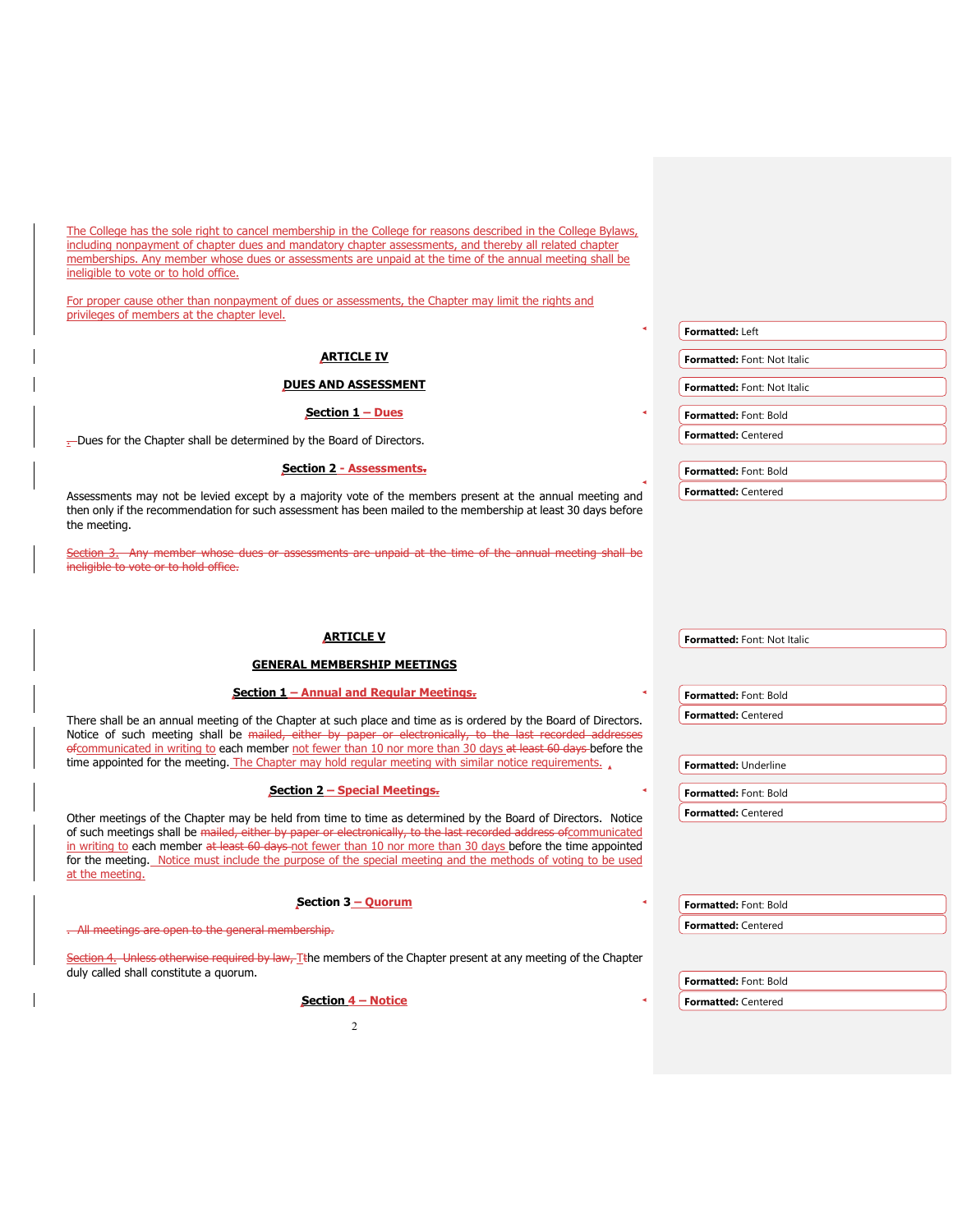The College has the sole right to cancel membership in the College for reasons described in the College Bylaws, including nonpayment of chapter dues and mandatory chapter assessments, and thereby all related chapter memberships. Any member whose dues or assessments are unpaid at the time of the annual meeting shall be ineligible to vote or to hold office.

For proper cause other than nonpayment of dues or assessments, the Chapter may limit the rights and privileges of members at the chapter level.

|                                                                                                                                                                                                                                           | <b>Formatted: Left</b>             |
|-------------------------------------------------------------------------------------------------------------------------------------------------------------------------------------------------------------------------------------------|------------------------------------|
| <b>ARTICLE IV</b>                                                                                                                                                                                                                         | Formatted: Font: Not Italic        |
| <b>DUES AND ASSESSMENT</b>                                                                                                                                                                                                                | <b>Formatted: Font: Not Italic</b> |
| Section $1 -$ Dues                                                                                                                                                                                                                        | <b>Formatted: Font: Bold</b>       |
| -Dues for the Chapter shall be determined by the Board of Directors.                                                                                                                                                                      | <b>Formatted: Centered</b>         |
| <b>Section 2 - Assessments.</b>                                                                                                                                                                                                           | Formatted: Font: Bold              |
| Assessments may not be levied except by a majority vote of the members present at the annual meeting and<br>then only if the recommendation for such assessment has been mailed to the membership at least 30 days before<br>the meeting. | <b>Formatted: Centered</b>         |

Section 3. Any member whose dues or assessments are unpaid at the time of the annual meeting shall be ineligible to vote or to hold office.

| <b>ARTICLE V</b>                                                                                                                                                                                                                                                                                                                                                                                                                                                                    | Formatted: Font: Not Italic |
|-------------------------------------------------------------------------------------------------------------------------------------------------------------------------------------------------------------------------------------------------------------------------------------------------------------------------------------------------------------------------------------------------------------------------------------------------------------------------------------|-----------------------------|
| <b>GENERAL MEMBERSHIP MEETINGS</b>                                                                                                                                                                                                                                                                                                                                                                                                                                                  |                             |
| Section 1 – Annual and Regular Meetings.                                                                                                                                                                                                                                                                                                                                                                                                                                            | Formatted: Font: Bold       |
| There shall be an annual meeting of the Chapter at such place and time as is ordered by the Board of Directors.<br>Notice of such meeting shall be mailed, either by paper or electronically, to the last recorded addresses<br>efcommunicated in writing to each member not fewer than 10 nor more than 30 days at least 60 days before the                                                                                                                                        | <b>Formatted: Centered</b>  |
| time appointed for the meeting. The Chapter may hold regular meeting with similar notice requirements.                                                                                                                                                                                                                                                                                                                                                                              | Formatted: Underline        |
| <b>Section 2 - Special Meetings.</b>                                                                                                                                                                                                                                                                                                                                                                                                                                                | Formatted: Font: Bold       |
| Other meetings of the Chapter may be held from time to time as determined by the Board of Directors. Notice<br>of such meetings shall be mailed, either by paper or electronically, to the last recorded address of communicated<br>in writing to each member at least 60 days-not fewer than 10 nor more than 30 days before the time appointed<br>for the meeting. Notice must include the purpose of the special meeting and the methods of voting to be used<br>at the meeting. | <b>Formatted: Centered</b>  |
| Section 3 - Quorum                                                                                                                                                                                                                                                                                                                                                                                                                                                                  | Formatted: Font: Bold       |
| . All meetings are open to the general membership.                                                                                                                                                                                                                                                                                                                                                                                                                                  | <b>Formatted: Centered</b>  |
| Section 4. Unless otherwise required by law. Tthe members of the Chapter present at any meeting of the Chapter<br>duly called shall constitute a quorum.                                                                                                                                                                                                                                                                                                                            | Formatted: Font: Bold       |
| Section 4 – Notice                                                                                                                                                                                                                                                                                                                                                                                                                                                                  | <b>Formatted: Centered</b>  |
| 2                                                                                                                                                                                                                                                                                                                                                                                                                                                                                   |                             |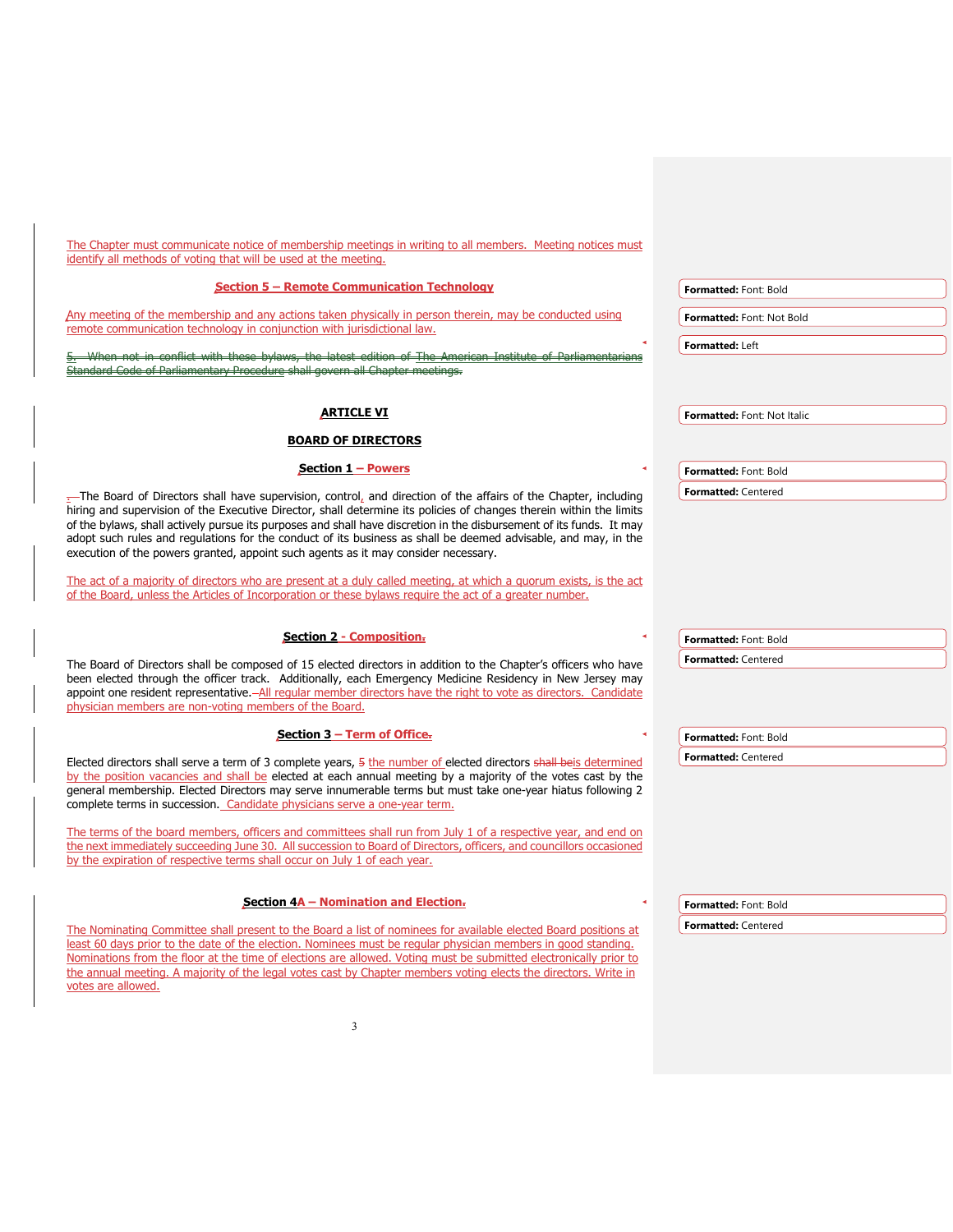| The Chapter must communicate notice of membership meetings in writing to all members. Meeting notices must                                                                                                                            |                             |
|---------------------------------------------------------------------------------------------------------------------------------------------------------------------------------------------------------------------------------------|-----------------------------|
| identify all methods of voting that will be used at the meeting.                                                                                                                                                                      |                             |
| <b>Section 5 - Remote Communication Technology</b>                                                                                                                                                                                    | Formatted: Font: Bold       |
| Any meeting of the membership and any actions taken physically in person therein, may be conducted using                                                                                                                              | Formatted: Font: Not Bold   |
| remote communication technology in conjunction with jurisdictional law.                                                                                                                                                               |                             |
| When not in conflict with these bylaws, the latest edition of The                                                                                                                                                                     | Formatted: Left             |
| <u>y Procedure</u> shall govern all Chapter meetings.                                                                                                                                                                                 |                             |
|                                                                                                                                                                                                                                       |                             |
| <b>ARTICLE VI</b>                                                                                                                                                                                                                     | Formatted: Font: Not Italic |
| <b>BOARD OF DIRECTORS</b>                                                                                                                                                                                                             |                             |
| Section 1 - Powers                                                                                                                                                                                                                    | Formatted: Font: Bold       |
|                                                                                                                                                                                                                                       | Formatted: Centered         |
| The Board of Directors shall have supervision, control, and direction of the affairs of the Chapter, including<br>hiring and supervision of the Executive Director, shall determine its policies of changes therein within the limits |                             |
| of the bylaws, shall actively pursue its purposes and shall have discretion in the disbursement of its funds. It may                                                                                                                  |                             |
| adopt such rules and regulations for the conduct of its business as shall be deemed advisable, and may, in the<br>execution of the powers granted, appoint such agents as it may consider necessary.                                  |                             |
|                                                                                                                                                                                                                                       |                             |
| The act of a majority of directors who are present at a duly called meeting, at which a quorum exists, is the act<br>of the Board, unless the Articles of Incorporation or these bylaws require the act of a greater number.          |                             |
|                                                                                                                                                                                                                                       |                             |
| <b>Section 2 - Composition.</b>                                                                                                                                                                                                       | Formatted: Font: Bold       |
|                                                                                                                                                                                                                                       | <b>Formatted: Centered</b>  |
| The Board of Directors shall be composed of 15 elected directors in addition to the Chapter's officers who have<br>been elected through the officer track. Additionally, each Emergency Medicine Residency in New Jersey may          |                             |
| appoint one resident representative.-All reqular member directors have the right to vote as directors. Candidate                                                                                                                      |                             |
| physician members are non-voting members of the Board.                                                                                                                                                                                |                             |
| Section $3$ – Term of Office.                                                                                                                                                                                                         | Formatted: Font: Bold       |
| Elected directors shall serve a term of 3 complete years, 5 the number of elected directors shall beis determined                                                                                                                     | Formatted: Centered         |
| by the position vacancies and shall be elected at each annual meeting by a majority of the votes cast by the                                                                                                                          |                             |
| general membership. Elected Directors may serve innumerable terms but must take one-year hiatus following 2<br>complete terms in succession. Candidate physicians serve a one-year term.                                              |                             |
|                                                                                                                                                                                                                                       |                             |
| The terms of the board members, officers and committees shall run from July 1 of a respective year, and end on<br>the next immediately succeeding June 30. All succession to Board of Directors, officers, and councillors occasioned |                             |
| by the expiration of respective terms shall occur on July 1 of each year.                                                                                                                                                             |                             |
|                                                                                                                                                                                                                                       |                             |
| Section $4A -$ Nomination and Election-                                                                                                                                                                                               | Formatted: Font: Bold       |
| The Nominating Committee shall present to the Board a list of nominees for available elected Board positions at                                                                                                                       | Formatted: Centered         |
| least 60 days prior to the date of the election. Nominees must be regular physician members in good standing.                                                                                                                         |                             |
| Nominations from the floor at the time of elections are allowed. Voting must be submitted electronically prior to<br>the annual meeting. A majority of the legal votes cast by Chapter members voting elects the directors. Write in  |                             |
| votes are allowed.                                                                                                                                                                                                                    |                             |
|                                                                                                                                                                                                                                       |                             |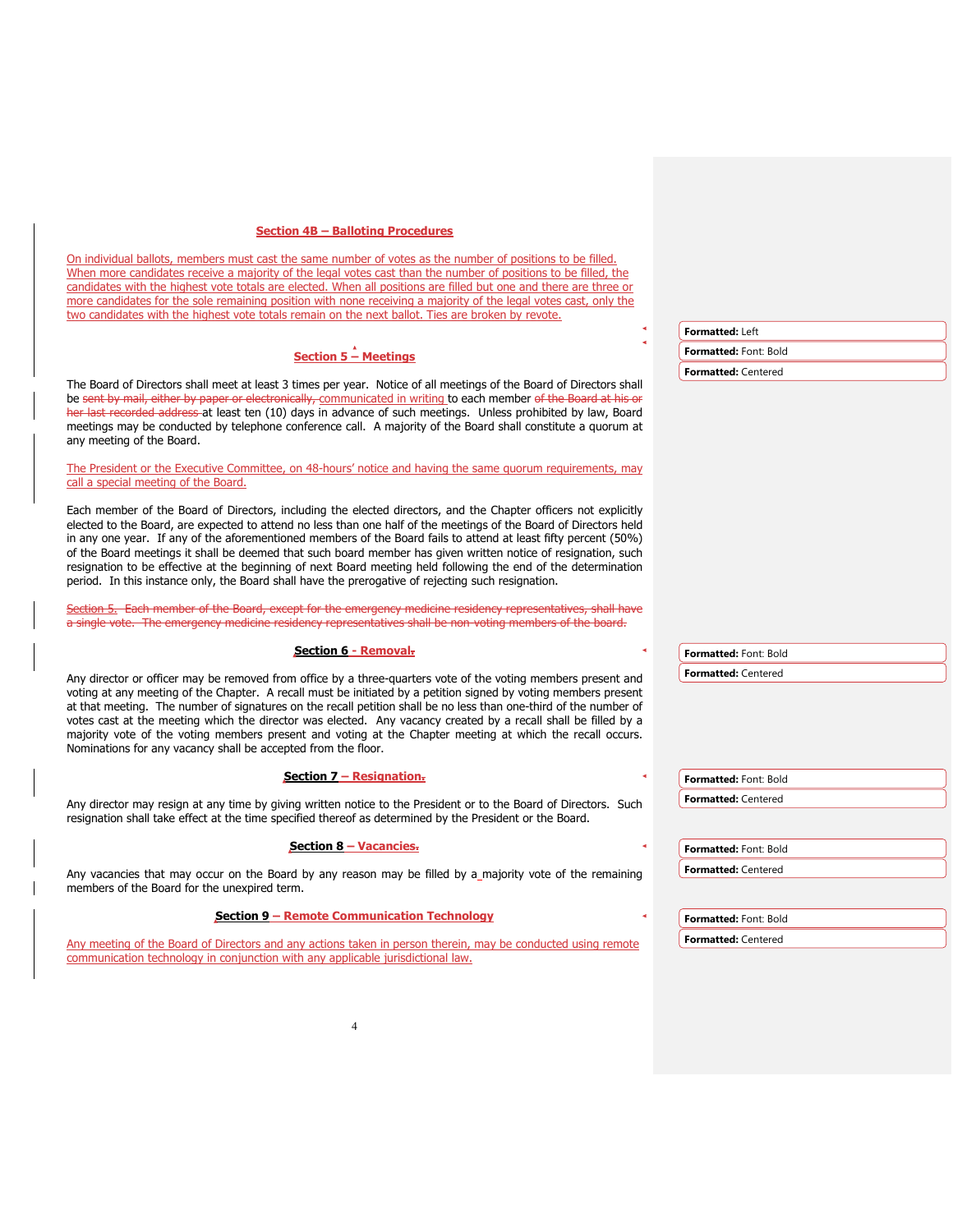### **Section 4B – Balloting Procedures**

On individual ballots, members must cast the same number of votes as the number of positions to be filled. When more candidates receive a majority of the legal votes cast than the number of positions to be filled, the candidates with the highest vote totals are elected. When all positions are filled but one and there are three or more candidates for the sole remaining position with none receiving a majority of the legal votes cast, only the two candidates with the highest vote totals remain on the next ballot. Ties are broken by revote.

# **Section 5 – Meetings**

The Board of Directors shall meet at least 3 times per year. Notice of all meetings of the Board of Directors shall be sent by mail, either by paper or electronically, communicated in writing to each member of the Board at his or her last recorded address at least ten (10) days in advance of such meetings. Unless prohibited by law, Board meetings may be conducted by telephone conference call. A majority of the Board shall constitute a quorum at any meeting of the Board.

The President or the Executive Committee, on 48-hours' notice and having the same quorum requirements, may call a special meeting of the Board.

Each member of the Board of Directors, including the elected directors, and the Chapter officers not explicitly elected to the Board, are expected to attend no less than one half of the meetings of the Board of Directors held in any one year. If any of the aforementioned members of the Board fails to attend at least fifty percent (50%) of the Board meetings it shall be deemed that such board member has given written notice of resignation, such resignation to be effective at the beginning of next Board meeting held following the end of the determination period. In this instance only, the Board shall have the prerogative of rejecting such resignation.

tion 5. Each member of the Board, except for the emergency medicine residency representatives, shall have a single vote. The emergency medicine residency representatives shall be non-voting members of the board.

#### **Section 6 - Removal.**

Any director or officer may be removed from office by a three-quarters vote of the voting members present and voting at any meeting of the Chapter. A recall must be initiated by a petition signed by voting members present at that meeting. The number of signatures on the recall petition shall be no less than one-third of the number of votes cast at the meeting which the director was elected. Any vacancy created by a recall shall be filled by a majority vote of the voting members present and voting at the Chapter meeting at which the recall occurs. Nominations for any vacancy shall be accepted from the floor.

#### **Section 7 – Resignation.**

Any director may resign at any time by giving written notice to the President or to the Board of Directors. Such resignation shall take effect at the time specified thereof as determined by the President or the Board.

## **Section 8 – Vacancies.**

Any vacancies that may occur on the Board by any reason may be filled by a\_majority vote of the remaining members of the Board for the unexpired term.

# **Section 9 – Remote Communication Technology**

Any meeting of the Board of Directors and any actions taken in person therein, may be conducted using remote communication technology in conjunction with any applicable jurisdictional law.

4

**Formatted:** Left **Formatted:** Font: Bold **Formatted:** Centered

**Formatted:** Font: Bold **Formatted:** Centered

**Formatted:** Font: Bold **Formatted:** Centered

**Formatted:** Font: Bold **Formatted:** Centered

**Formatted:** Font: Bold **Formatted:** Centered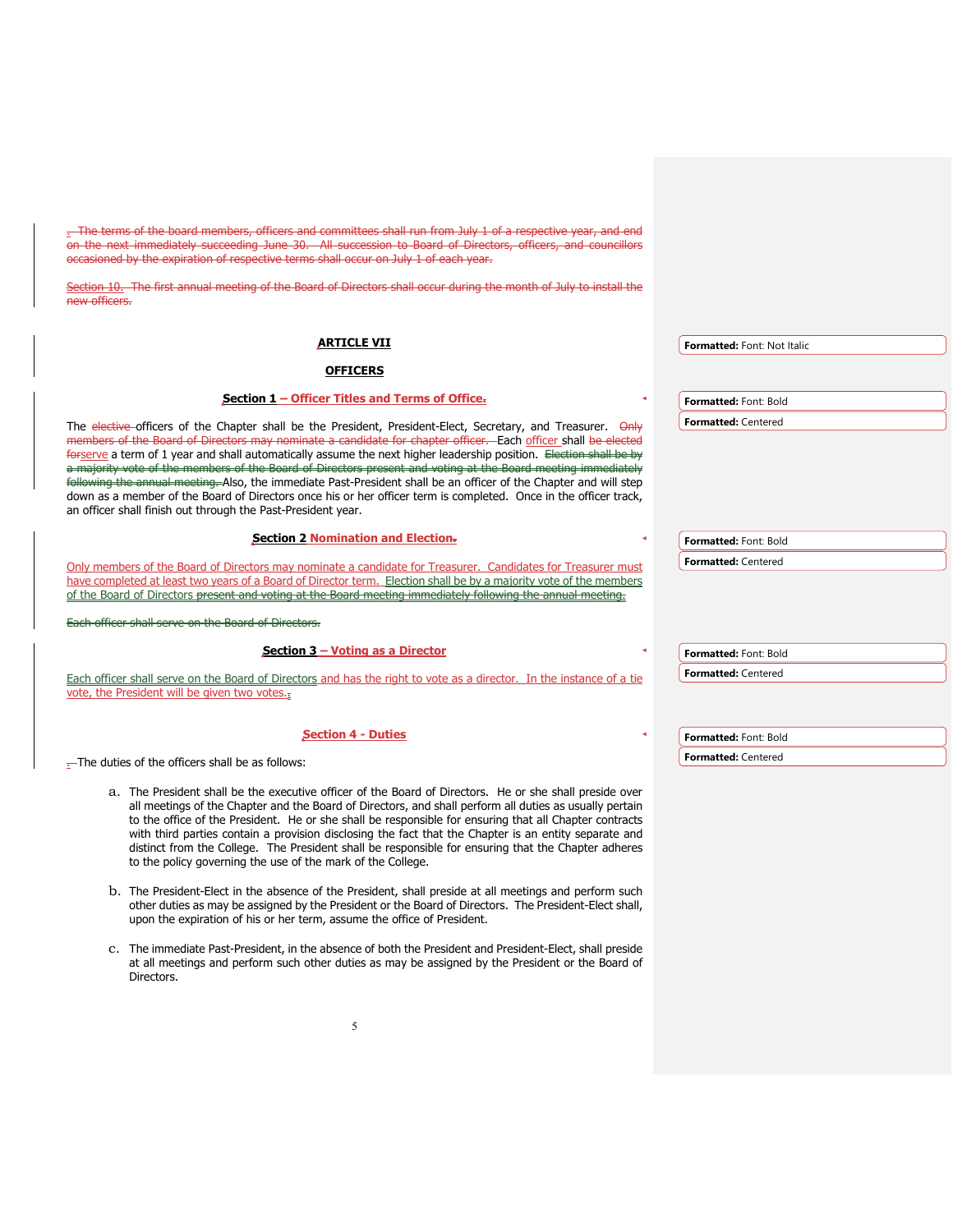. The terms of the board members, officers and committees shall run from July 1 of a respective year, and end on the next immediately succeeding June 30. All succession to Board of Directors, officers, and councillors occasioned by the expiration of respective terms shall occur on July 1 of each year.

Section 10. The first annual meeting of the Board of Directors shall occur during the month of July to install the new officers.

| <b>ARTICLE VII</b>                                                                                                                                                                                                                                                                                                                                                                                                                                                  | Formatted: Font: Not Italic |
|---------------------------------------------------------------------------------------------------------------------------------------------------------------------------------------------------------------------------------------------------------------------------------------------------------------------------------------------------------------------------------------------------------------------------------------------------------------------|-----------------------------|
| <b>OFFICERS</b>                                                                                                                                                                                                                                                                                                                                                                                                                                                     |                             |
| Section 1 – Officer Titles and Terms of Office-                                                                                                                                                                                                                                                                                                                                                                                                                     | Formatted: Font: Bold       |
| The elective officers of the Chapter shall be the President, President-Elect, Secretary, and Treasurer. Only<br>members of the Board of Directors may nominate a candidate for chapter officer. Each officer shall be elected<br>forserve a term of 1 year and shall automatically assume the next higher leadership position. Election shall be by<br>a majority vote of the members of the Board of Directors present and voting at the Board meeting immediately | <b>Formatted: Centered</b>  |
| following the annual meeting. Also, the immediate Past-President shall be an officer of the Chapter and will step<br>down as a member of the Board of Directors once his or her officer term is completed. Once in the officer track.<br>an officer shall finish out through the Past-President year.                                                                                                                                                               |                             |
| <b>Section 2 Nomination and Election-</b>                                                                                                                                                                                                                                                                                                                                                                                                                           | Formatted: Font: Bold       |
| Only members of the Board of Directors may nominate a candidate for Treasurer. Candidates for Treasurer must<br>have completed at least two years of a Board of Director term. Election shall be by a majority yote of the members<br>of the Board of Directors present and voting at the Board meeting immediately following the annual meeting.                                                                                                                   | <b>Formatted: Centered</b>  |
| cer shall serve on the Board of Directors.                                                                                                                                                                                                                                                                                                                                                                                                                          |                             |
| Section 3 – Voting as a Director                                                                                                                                                                                                                                                                                                                                                                                                                                    | Formatted: Font: Bold       |
| Each officer shall serve on the Board of Directors and has the right to vote as a director. In the instance of a tie<br>vote, the President will be given two votes.                                                                                                                                                                                                                                                                                                | <b>Formatted: Centered</b>  |
| <b>Section 4 - Duties</b>                                                                                                                                                                                                                                                                                                                                                                                                                                           | Formatted: Font: Bold       |
| $-$ The duties of the officers shall be as follows:                                                                                                                                                                                                                                                                                                                                                                                                                 | <b>Formatted: Centered</b>  |

- a. The President shall be the executive officer of the Board of Directors. He or she shall preside over all meetings of the Chapter and the Board of Directors, and shall perform all duties as usually pertain to the office of the President. He or she shall be responsible for ensuring that all Chapter contracts with third parties contain a provision disclosing the fact that the Chapter is an entity separate and distinct from the College. The President shall be responsible for ensuring that the Chapter adheres to the policy governing the use of the mark of the College.
- b. The President-Elect in the absence of the President, shall preside at all meetings and perform such other duties as may be assigned by the President or the Board of Directors. The President-Elect shall, upon the expiration of his or her term, assume the office of President.
- c. The immediate Past-President, in the absence of both the President and President-Elect, shall preside at all meetings and perform such other duties as may be assigned by the President or the Board of Directors.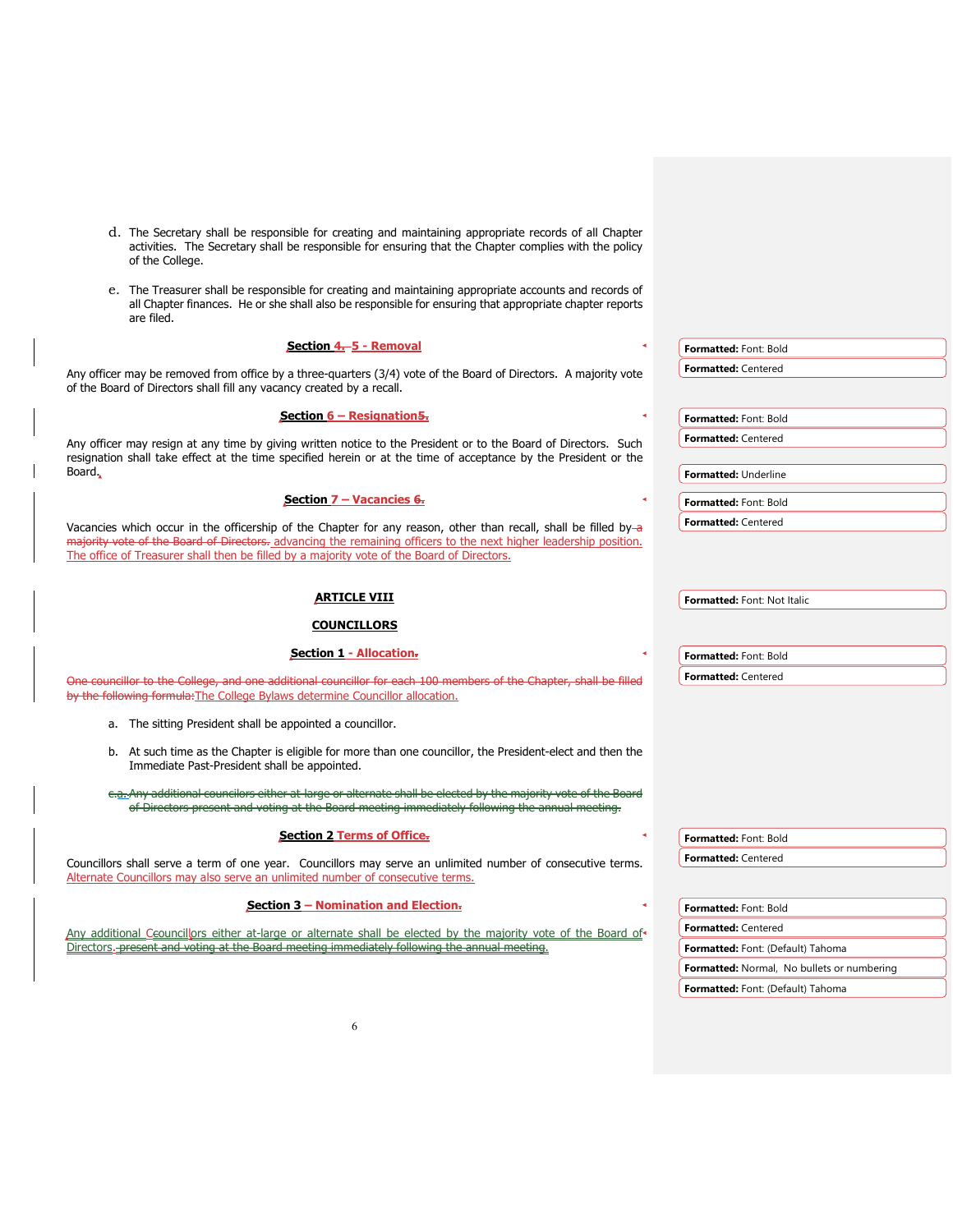- d. The Secretary shall be responsible for creating and maintaining appropriate records of all Chapter activities. The Secretary shall be responsible for ensuring that the Chapter complies with the policy of the College.
- e. The Treasurer shall be responsible for creating and maintaining appropriate accounts and records of all Chapter finances. He or she shall also be responsible for ensuring that appropriate chapter reports are filed.

| Section 4.-5 - Removal                                                                                                                                                                                                             | Formatted: Font: Bold                             |
|------------------------------------------------------------------------------------------------------------------------------------------------------------------------------------------------------------------------------------|---------------------------------------------------|
| Any officer may be removed from office by a three-quarters (3/4) vote of the Board of Directors. A majority vote                                                                                                                   | <b>Formatted: Centered</b>                        |
| of the Board of Directors shall fill any vacancy created by a recall.                                                                                                                                                              |                                                   |
| Section $6 -$ Resignation 5.                                                                                                                                                                                                       | Formatted: Font: Bold                             |
|                                                                                                                                                                                                                                    |                                                   |
| Any officer may resign at any time by giving written notice to the President or to the Board of Directors. Such<br>resignation shall take effect at the time specified herein or at the time of acceptance by the President or the | <b>Formatted: Centered</b>                        |
| Board.                                                                                                                                                                                                                             | Formatted: Underline                              |
| Section $7 -$ Vacancies $6.$                                                                                                                                                                                                       |                                                   |
|                                                                                                                                                                                                                                    | Formatted: Font: Bold                             |
| Vacancies which occur in the officership of the Chapter for any reason, other than recall, shall be filled by-a                                                                                                                    | <b>Formatted: Centered</b>                        |
| majority vote of the Board of Directors. advancing the remaining officers to the next higher leadership position.<br>The office of Treasurer shall then be filled by a majority vote of the Board of Directors.                    |                                                   |
|                                                                                                                                                                                                                                    |                                                   |
|                                                                                                                                                                                                                                    |                                                   |
| <b>ARTICLE VIII</b>                                                                                                                                                                                                                | Formatted: Font: Not Italic                       |
| <b>COUNCILLORS</b>                                                                                                                                                                                                                 |                                                   |
| Section 1 - Allocation.                                                                                                                                                                                                            | Formatted: Font: Bold                             |
| One councillor to the College, and one additional councillor for each 100 members of the Chapter, shall be filled                                                                                                                  | <b>Formatted: Centered</b>                        |
| by the following formula: The College Bylaws determine Councillor allocation.                                                                                                                                                      |                                                   |
|                                                                                                                                                                                                                                    |                                                   |
| a. The sitting President shall be appointed a councillor.                                                                                                                                                                          |                                                   |
| b. At such time as the Chapter is eligible for more than one councillor, the President-elect and then the                                                                                                                          |                                                   |
| Immediate Past-President shall be appointed.                                                                                                                                                                                       |                                                   |
| e.a. Any additional councilors either at-large or alternate shall be elected by the majority vote o                                                                                                                                |                                                   |
| of Directors present and voting at the Board meeting immediately following the annual m                                                                                                                                            |                                                   |
| <b>Section 2 Terms of Office.</b>                                                                                                                                                                                                  |                                                   |
|                                                                                                                                                                                                                                    | Formatted: Font: Bold                             |
| Councillors shall serve a term of one year. Councillors may serve an unlimited number of consecutive terms.                                                                                                                        | <b>Formatted: Centered</b>                        |
| Alternate Councillors may also serve an unlimited number of consecutive terms.                                                                                                                                                     |                                                   |
| Section 3 - Nomination and Election-                                                                                                                                                                                               | Formatted: Font: Bold                             |
| Any additional Ceouncillors either at-large or alternate shall be elected by the majority vote of the Board of                                                                                                                     | <b>Formatted: Centered</b>                        |
| Directors.-present and voting at the Board meeting immediately following the annual meeting.                                                                                                                                       | Formatted: Font: (Default) Tahoma                 |
|                                                                                                                                                                                                                                    | <b>Formatted:</b> Normal, No bullets or numbering |

**Formatted:** Font: (Default) Tahoma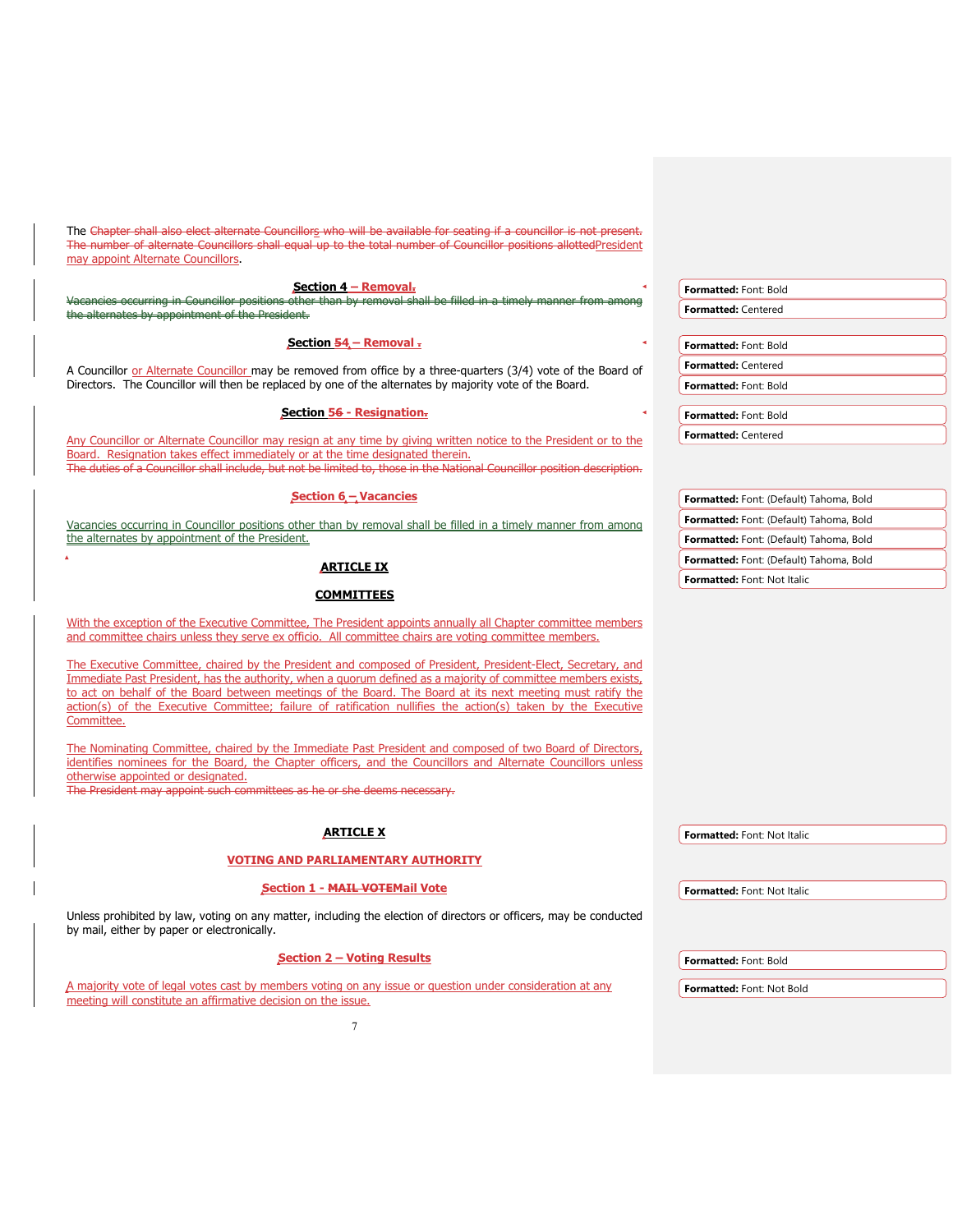The Chapter shall also elect alternate Councillors who will be available for seating if a councillor is not present. The number of alternate Councillors shall equal up to the total number of Councillor positions allottedPresident may appoint Alternate Councillors. **Section 4 – Removal.** Vacancies occurring in Councillor positions other than by removal shall be filled in a timely manner from among the alternates by appointment of the President. **Section 54 – Removal .** A Councillor or Alternate Councillor may be removed from office by a three-quarters (3/4) vote of the Board of Directors. The Councillor will then be replaced by one of the alternates by majority vote of the Board. **Section 56 - Resignation.** Any Councillor or Alternate Councillor may resign at any time by giving written notice to the President or to the Board. Resignation takes effect immediately or at the time designated therein. The duties of a Councillor shall include, but not be limited to, those in the National Councillor position description. **Section 6 – Vacancies** Vacancies occurring in Councillor positions other than by removal shall be filled in a timely manner from among the alternates by appointment of the President. **ARTICLE IX COMMITTEES** With the exception of the Executive Committee, The President appoints annually all Chapter committee members and committee chairs unless they serve ex officio. All committee chairs are voting committee members. The Executive Committee, chaired by the President and composed of President, President-Elect, Secretary, and Immediate Past President, has the authority, when a quorum defined as a majority of committee members exists, to act on behalf of the Board between meetings of the Board. The Board at its next meeting must ratify the action(s) of the Executive Committee; failure of ratification nullifies the action(s) taken by the Executive Committee. The Nominating Committee, chaired by the Immediate Past President and composed of two Board of Directors, identifies nominees for the Board, the Chapter officers, and the Councillors and Alternate Councillors unless otherwise appointed or designated. The President may appoint such committees as he or she deems necessary. **ARTICLE X VOTING AND PARLIAMENTARY AUTHORITY Section 1 - MAIL VOTEMail Vote** Unless prohibited by law, voting on any matter, including the election of directors or officers, may be conducted by mail, either by paper or electronically. **Section 2 – Voting Results**  A majority vote of legal votes cast by members voting on any issue or question under consideration at any meeting will constitute an affirmative decision on the issue. **Formatted:** Font: Bold **Formatted:** Centered **Formatted:** Font: Bold **Formatted:** Centered **Formatted:** Font: Bold **Formatted:** Font: Bold **Formatted:** Centered **Formatted:** Font: (Default) Tahoma, Bold **Formatted:** Font: (Default) Tahoma, Bold **Formatted:** Font: (Default) Tahoma, Bold **Formatted:** Font: (Default) Tahoma, Bold **Formatted:** Font: Not Italic **Formatted:** Font: Not Italic **Formatted:** Font: Not Italic **Formatted:** Font: Bold **Formatted:** Font: Not Bold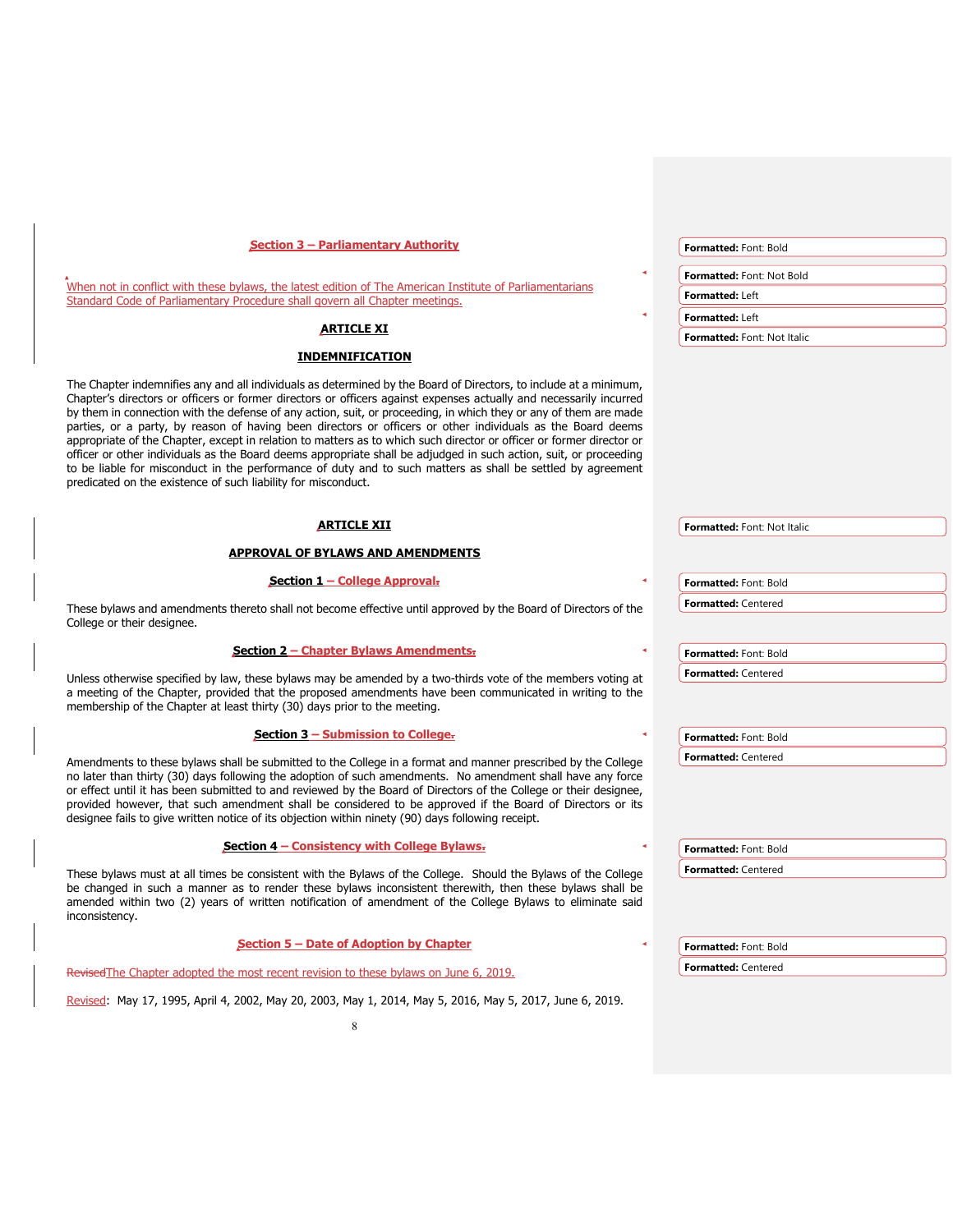| <b>Section 3 - Parliamentary Authority</b>                                                                                                                                                                                                                                                                                                                                                                                                                                                                                                                                                                                                                                                                                                                                                                                                                                                              | <b>Formatted: Font: Bold</b>       |
|---------------------------------------------------------------------------------------------------------------------------------------------------------------------------------------------------------------------------------------------------------------------------------------------------------------------------------------------------------------------------------------------------------------------------------------------------------------------------------------------------------------------------------------------------------------------------------------------------------------------------------------------------------------------------------------------------------------------------------------------------------------------------------------------------------------------------------------------------------------------------------------------------------|------------------------------------|
|                                                                                                                                                                                                                                                                                                                                                                                                                                                                                                                                                                                                                                                                                                                                                                                                                                                                                                         | <b>Formatted: Font: Not Bold</b>   |
| When not in conflict with these bylaws, the latest edition of The American Institute of Parliamentarians<br>Standard Code of Parliamentary Procedure shall govern all Chapter meetings.                                                                                                                                                                                                                                                                                                                                                                                                                                                                                                                                                                                                                                                                                                                 | <b>Formatted: Left</b>             |
|                                                                                                                                                                                                                                                                                                                                                                                                                                                                                                                                                                                                                                                                                                                                                                                                                                                                                                         | Formatted: Left                    |
| <b>ARTICLE XI</b>                                                                                                                                                                                                                                                                                                                                                                                                                                                                                                                                                                                                                                                                                                                                                                                                                                                                                       | Formatted: Font: Not Italic        |
| <b>INDEMNIFICATION</b>                                                                                                                                                                                                                                                                                                                                                                                                                                                                                                                                                                                                                                                                                                                                                                                                                                                                                  |                                    |
| The Chapter indemnifies any and all individuals as determined by the Board of Directors, to include at a minimum,<br>Chapter's directors or officers or former directors or officers against expenses actually and necessarily incurred<br>by them in connection with the defense of any action, suit, or proceeding, in which they or any of them are made<br>parties, or a party, by reason of having been directors or officers or other individuals as the Board deems<br>appropriate of the Chapter, except in relation to matters as to which such director or officer or former director or<br>officer or other individuals as the Board deems appropriate shall be adjudged in such action, suit, or proceeding<br>to be liable for misconduct in the performance of duty and to such matters as shall be settled by agreement<br>predicated on the existence of such liability for misconduct. |                                    |
| <u>ARTICLE XII</u>                                                                                                                                                                                                                                                                                                                                                                                                                                                                                                                                                                                                                                                                                                                                                                                                                                                                                      | <b>Formatted:</b> Font: Not Italic |
| <b>APPROVAL OF BYLAWS AND AMENDMENTS</b>                                                                                                                                                                                                                                                                                                                                                                                                                                                                                                                                                                                                                                                                                                                                                                                                                                                                |                                    |
| Section 1 – College Approval.                                                                                                                                                                                                                                                                                                                                                                                                                                                                                                                                                                                                                                                                                                                                                                                                                                                                           | Formatted: Font: Bold              |
| These bylaws and amendments thereto shall not become effective until approved by the Board of Directors of the                                                                                                                                                                                                                                                                                                                                                                                                                                                                                                                                                                                                                                                                                                                                                                                          | <b>Formatted: Centered</b>         |
| College or their designee.                                                                                                                                                                                                                                                                                                                                                                                                                                                                                                                                                                                                                                                                                                                                                                                                                                                                              |                                    |
| <b>Section 2 - Chapter Bylaws Amendments-</b>                                                                                                                                                                                                                                                                                                                                                                                                                                                                                                                                                                                                                                                                                                                                                                                                                                                           | Formatted: Font: Bold              |
| Unless otherwise specified by law, these bylaws may be amended by a two-thirds vote of the members voting at                                                                                                                                                                                                                                                                                                                                                                                                                                                                                                                                                                                                                                                                                                                                                                                            | Formatted: Centered                |
| a meeting of the Chapter, provided that the proposed amendments have been communicated in writing to the<br>membership of the Chapter at least thirty (30) days prior to the meeting.                                                                                                                                                                                                                                                                                                                                                                                                                                                                                                                                                                                                                                                                                                                   |                                    |
| Section 3 - Submission to College-                                                                                                                                                                                                                                                                                                                                                                                                                                                                                                                                                                                                                                                                                                                                                                                                                                                                      | Formatted: Font: Bold              |
| Amendments to these bylaws shall be submitted to the College in a format and manner prescribed by the College<br>no later than thirty (30) days following the adoption of such amendments. No amendment shall have any force<br>or effect until it has been submitted to and reviewed by the Board of Directors of the College or their designee,<br>provided however, that such amendment shall be considered to be approved if the Board of Directors or its<br>designee fails to give written notice of its objection within ninety (90) days following receipt.                                                                                                                                                                                                                                                                                                                                     | Formatted: Centered                |
| Section 4 - Consistency with College Bylaws-                                                                                                                                                                                                                                                                                                                                                                                                                                                                                                                                                                                                                                                                                                                                                                                                                                                            | Formatted: Font: Bold              |
| These bylaws must at all times be consistent with the Bylaws of the College. Should the Bylaws of the College<br>be changed in such a manner as to render these bylaws inconsistent therewith, then these bylaws shall be<br>amended within two (2) years of written notification of amendment of the College Bylaws to eliminate said<br>inconsistency.                                                                                                                                                                                                                                                                                                                                                                                                                                                                                                                                                | Formatted: Centered                |
| Section 5 – Date of Adoption by Chapter                                                                                                                                                                                                                                                                                                                                                                                                                                                                                                                                                                                                                                                                                                                                                                                                                                                                 | <b>Formatted: Font: Bold</b>       |
| Revised The Chapter adopted the most recent revision to these bylaws on June 6, 2019.                                                                                                                                                                                                                                                                                                                                                                                                                                                                                                                                                                                                                                                                                                                                                                                                                   | <b>Formatted: Centered</b>         |
| Revised: May 17, 1995, April 4, 2002, May 20, 2003, May 1, 2014, May 5, 2016, May 5, 2017, June 6, 2019.                                                                                                                                                                                                                                                                                                                                                                                                                                                                                                                                                                                                                                                                                                                                                                                                |                                    |
| 8                                                                                                                                                                                                                                                                                                                                                                                                                                                                                                                                                                                                                                                                                                                                                                                                                                                                                                       |                                    |